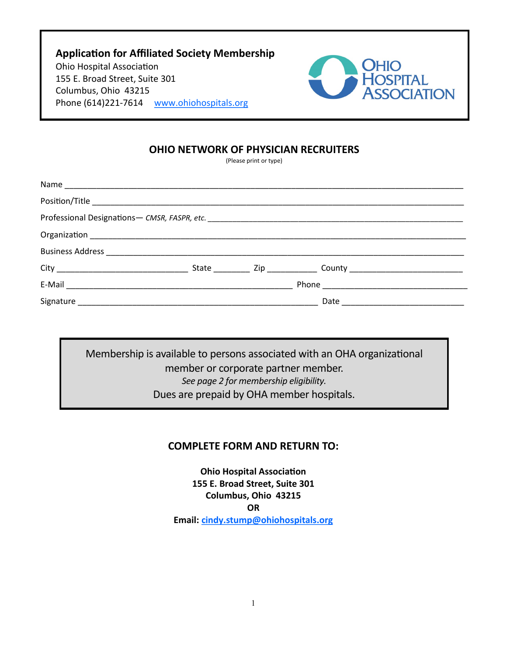**Application for Affiliated Society Membership** Ohio Hospital Association 155 E. Broad Street, Suite 301 Columbus, Ohio 43215 Phone (614)221-7614 [www.ohiohospitals.org](http://www.ohiohospitals.org)



### **OHIO NETWORK OF PHYSICIAN RECRUITERS**

(Please print or type)

Membership is available to persons associated with an OHA organizational member or corporate partner member. *See page 2 for membership eligibility.* Dues are prepaid by OHA member hospitals.

## **COMPLETE FORM AND RETURN TO:**

**Ohio Hospital Association 155 E. Broad Street, Suite 301 Columbus, Ohio 43215 OR Email: [cindy.stump@ohiohospitals.org](mailto:jackies@ohanet.org)**